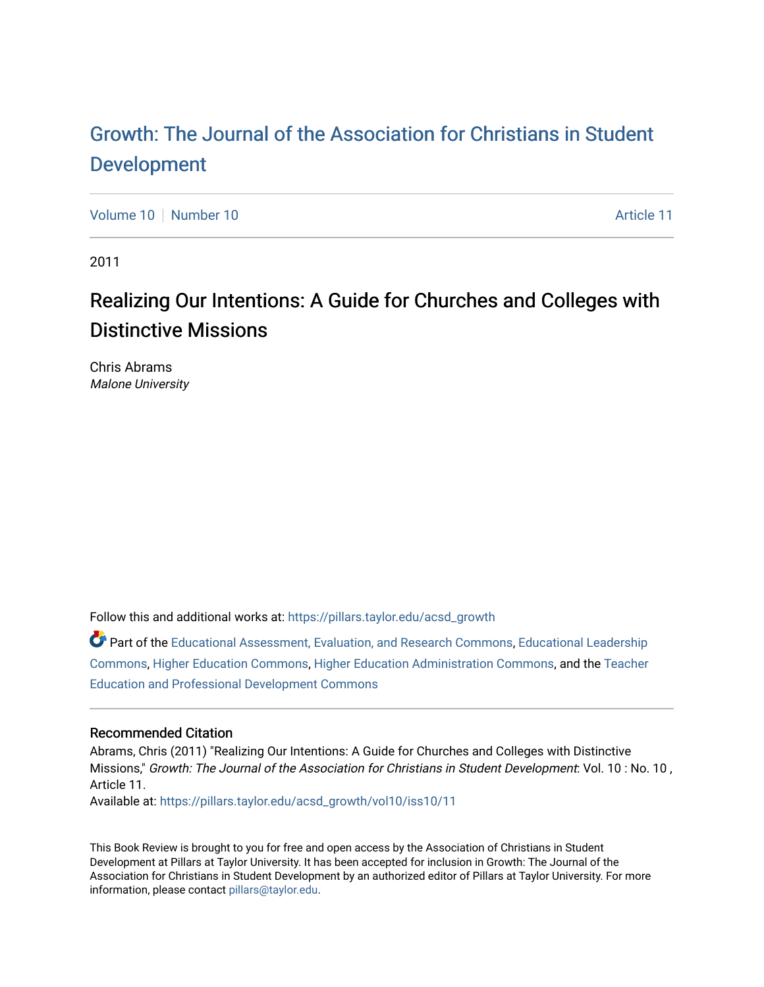## [Growth: The Journal of the Association for Christians in Student](https://pillars.taylor.edu/acsd_growth) [Development](https://pillars.taylor.edu/acsd_growth)

[Volume 10](https://pillars.taylor.edu/acsd_growth/vol10) [Number 10](https://pillars.taylor.edu/acsd_growth/vol10/iss10) Article 11

2011

# Realizing Our Intentions: A Guide for Churches and Colleges with Distinctive Missions

Chris Abrams Malone University

Follow this and additional works at: [https://pillars.taylor.edu/acsd\\_growth](https://pillars.taylor.edu/acsd_growth?utm_source=pillars.taylor.edu%2Facsd_growth%2Fvol10%2Fiss10%2F11&utm_medium=PDF&utm_campaign=PDFCoverPages)

Part of the [Educational Assessment, Evaluation, and Research Commons](http://network.bepress.com/hgg/discipline/796?utm_source=pillars.taylor.edu%2Facsd_growth%2Fvol10%2Fiss10%2F11&utm_medium=PDF&utm_campaign=PDFCoverPages), [Educational Leadership](http://network.bepress.com/hgg/discipline/1230?utm_source=pillars.taylor.edu%2Facsd_growth%2Fvol10%2Fiss10%2F11&utm_medium=PDF&utm_campaign=PDFCoverPages) [Commons](http://network.bepress.com/hgg/discipline/1230?utm_source=pillars.taylor.edu%2Facsd_growth%2Fvol10%2Fiss10%2F11&utm_medium=PDF&utm_campaign=PDFCoverPages), [Higher Education Commons](http://network.bepress.com/hgg/discipline/1245?utm_source=pillars.taylor.edu%2Facsd_growth%2Fvol10%2Fiss10%2F11&utm_medium=PDF&utm_campaign=PDFCoverPages), [Higher Education Administration Commons](http://network.bepress.com/hgg/discipline/791?utm_source=pillars.taylor.edu%2Facsd_growth%2Fvol10%2Fiss10%2F11&utm_medium=PDF&utm_campaign=PDFCoverPages), and the [Teacher](http://network.bepress.com/hgg/discipline/803?utm_source=pillars.taylor.edu%2Facsd_growth%2Fvol10%2Fiss10%2F11&utm_medium=PDF&utm_campaign=PDFCoverPages)  [Education and Professional Development Commons](http://network.bepress.com/hgg/discipline/803?utm_source=pillars.taylor.edu%2Facsd_growth%2Fvol10%2Fiss10%2F11&utm_medium=PDF&utm_campaign=PDFCoverPages)

### Recommended Citation

Abrams, Chris (2011) "Realizing Our Intentions: A Guide for Churches and Colleges with Distinctive Missions," Growth: The Journal of the Association for Christians in Student Development: Vol. 10 : No. 10, Article 11.

Available at: [https://pillars.taylor.edu/acsd\\_growth/vol10/iss10/11](https://pillars.taylor.edu/acsd_growth/vol10/iss10/11?utm_source=pillars.taylor.edu%2Facsd_growth%2Fvol10%2Fiss10%2F11&utm_medium=PDF&utm_campaign=PDFCoverPages)

This Book Review is brought to you for free and open access by the Association of Christians in Student Development at Pillars at Taylor University. It has been accepted for inclusion in Growth: The Journal of the Association for Christians in Student Development by an authorized editor of Pillars at Taylor University. For more information, please contact [pillars@taylor.edu.](mailto:pillars@taylor.edu)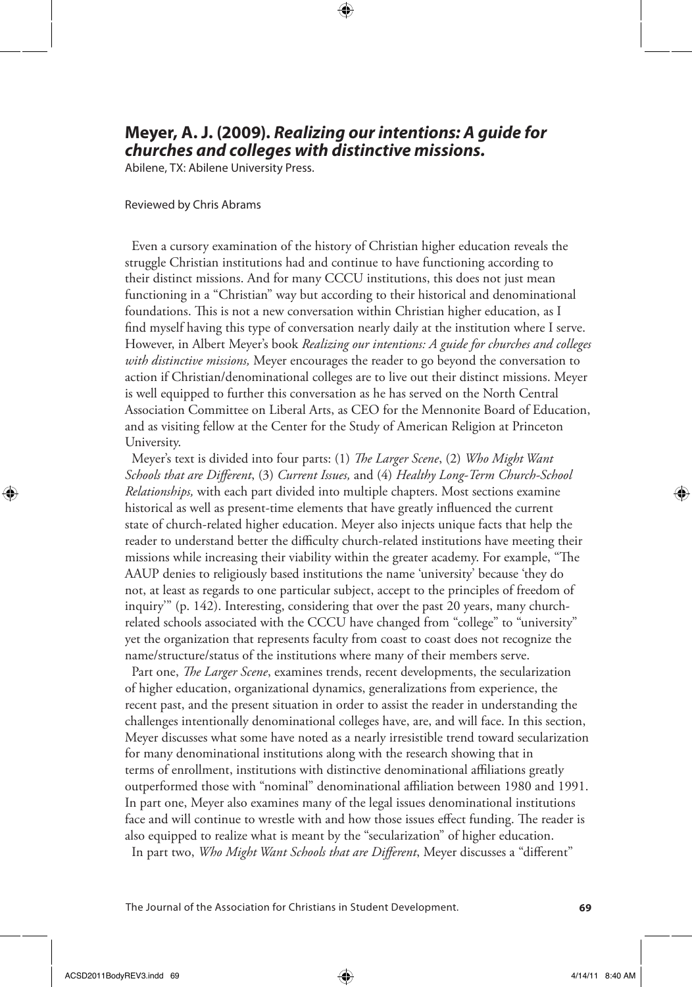### **Meyer, A. J. (2009).** *Realizing our intentions: A guide for churches and colleges with distinctive missions.*

⊕

Abilene, TX: Abilene University Press.

#### Reviewed by Chris Abrams

 Even a cursory examination of the history of Christian higher education reveals the struggle Christian institutions had and continue to have functioning according to their distinct missions. And for many CCCU institutions, this does not just mean functioning in a "Christian" way but according to their historical and denominational foundations. This is not a new conversation within Christian higher education, as I find myself having this type of conversation nearly daily at the institution where I serve. However, in Albert Meyer's book *Realizing our intentions: A guide for churches and colleges with distinctive missions,* Meyer encourages the reader to go beyond the conversation to action if Christian/denominational colleges are to live out their distinct missions. Meyer is well equipped to further this conversation as he has served on the North Central Association Committee on Liberal Arts, as CEO for the Mennonite Board of Education, and as visiting fellow at the Center for the Study of American Religion at Princeton University.

 Meyer's text is divided into four parts: (1) *The Larger Scene*, (2) *Who Might Want Schools that are Different*, (3) *Current Issues,* and (4) *Healthy Long-Term Church-School Relationships,* with each part divided into multiple chapters. Most sections examine historical as well as present-time elements that have greatly influenced the current state of church-related higher education. Meyer also injects unique facts that help the reader to understand better the difficulty church-related institutions have meeting their missions while increasing their viability within the greater academy. For example, "The AAUP denies to religiously based institutions the name 'university' because 'they do not, at least as regards to one particular subject, accept to the principles of freedom of inquiry'" (p. 142). Interesting, considering that over the past 20 years, many churchrelated schools associated with the CCCU have changed from "college" to "university" yet the organization that represents faculty from coast to coast does not recognize the name/structure/status of the institutions where many of their members serve.

 Part one, *The Larger Scene*, examines trends, recent developments, the secularization of higher education, organizational dynamics, generalizations from experience, the recent past, and the present situation in order to assist the reader in understanding the challenges intentionally denominational colleges have, are, and will face. In this section, Meyer discusses what some have noted as a nearly irresistible trend toward secularization for many denominational institutions along with the research showing that in terms of enrollment, institutions with distinctive denominational affiliations greatly outperformed those with "nominal" denominational affiliation between 1980 and 1991. In part one, Meyer also examines many of the legal issues denominational institutions face and will continue to wrestle with and how those issues effect funding. The reader is also equipped to realize what is meant by the "secularization" of higher education. In part two, *Who Might Want Schools that are Different*, Meyer discusses a "different"

The Journal of the Association for Christians in Student Development. **69**

↔

⊕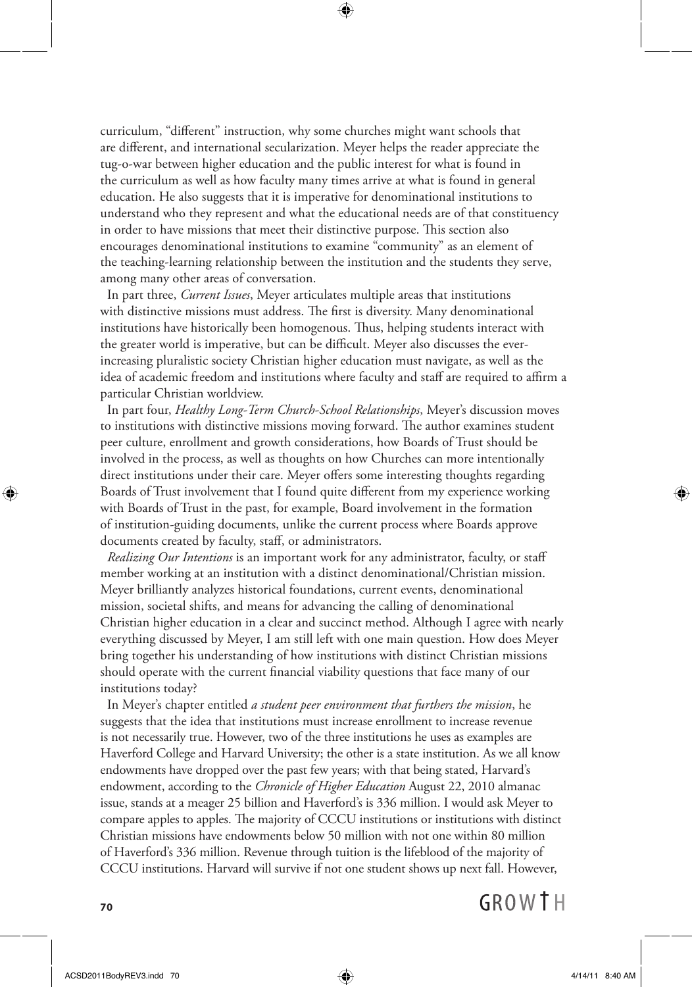curriculum, "different" instruction, why some churches might want schools that are different, and international secularization. Meyer helps the reader appreciate the tug-o-war between higher education and the public interest for what is found in the curriculum as well as how faculty many times arrive at what is found in general education. He also suggests that it is imperative for denominational institutions to understand who they represent and what the educational needs are of that constituency in order to have missions that meet their distinctive purpose. This section also encourages denominational institutions to examine "community" as an element of the teaching-learning relationship between the institution and the students they serve, among many other areas of conversation.

⊕

 In part three, *Current Issues*, Meyer articulates multiple areas that institutions with distinctive missions must address. The first is diversity. Many denominational institutions have historically been homogenous. Thus, helping students interact with the greater world is imperative, but can be difficult. Meyer also discusses the everincreasing pluralistic society Christian higher education must navigate, as well as the idea of academic freedom and institutions where faculty and staff are required to affirm a particular Christian worldview.

 In part four, *Healthy Long-Term Church-School Relationships*, Meyer's discussion moves to institutions with distinctive missions moving forward. The author examines student peer culture, enrollment and growth considerations, how Boards of Trust should be involved in the process, as well as thoughts on how Churches can more intentionally direct institutions under their care. Meyer offers some interesting thoughts regarding Boards of Trust involvement that I found quite different from my experience working with Boards of Trust in the past, for example, Board involvement in the formation of institution-guiding documents, unlike the current process where Boards approve documents created by faculty, staff, or administrators.

 *Realizing Our Intentions* is an important work for any administrator, faculty, or staff member working at an institution with a distinct denominational/Christian mission. Meyer brilliantly analyzes historical foundations, current events, denominational mission, societal shifts, and means for advancing the calling of denominational Christian higher education in a clear and succinct method. Although I agree with nearly everything discussed by Meyer, I am still left with one main question. How does Meyer bring together his understanding of how institutions with distinct Christian missions should operate with the current financial viability questions that face many of our institutions today?

 In Meyer's chapter entitled *a student peer environment that furthers the mission*, he suggests that the idea that institutions must increase enrollment to increase revenue is not necessarily true. However, two of the three institutions he uses as examples are Haverford College and Harvard University; the other is a state institution. As we all know endowments have dropped over the past few years; with that being stated, Harvard's endowment, according to the *Chronicle of Higher Education* August 22, 2010 almanac issue, stands at a meager 25 billion and Haverford's is 336 million. I would ask Meyer to compare apples to apples. The majority of CCCU institutions or institutions with distinct Christian missions have endowments below 50 million with not one within 80 million of Haverford's 336 million. Revenue through tuition is the lifeblood of the majority of CCCU institutions. Harvard will survive if not one student shows up next fall. However,



### GROWTH

**70**

↔

⊕